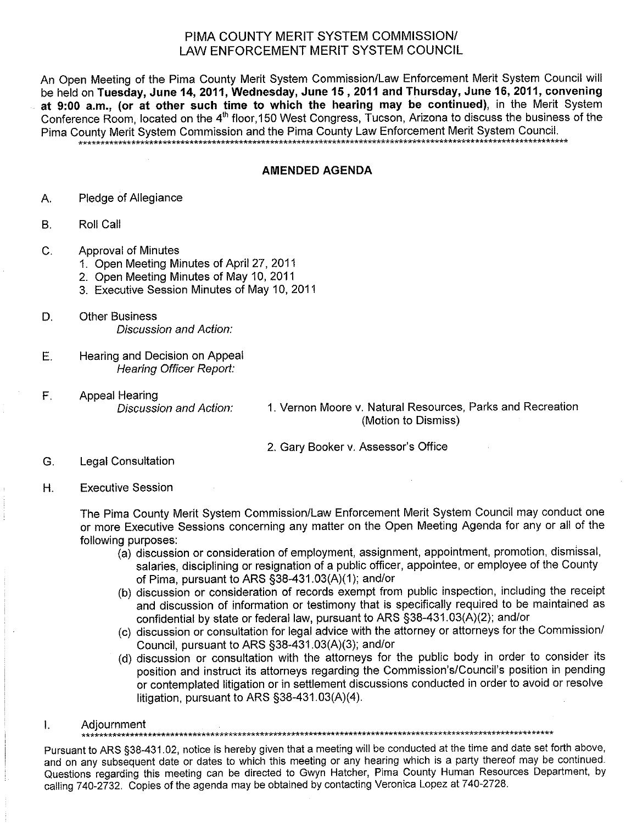## PIMA COUNTY MERIT SYSTEM COMMISSION/ LAW ENFORCEMENT MERIT SYSTEM COUNCIL

An Open Meeting of the Pima County Merit System Commission/Law Enforcement Merit System Council will be held on Tuesday, June 14, 2011, Wednesday, June 15, 2011 and Thursday, June 16, 2011, convening at 9:00 a.m., (or at other such time to which the hearing may be continued), in the Merit System Conference Room. located on the 4<sup>th</sup> floor 150 West Congress, Tucson, Arizona to discuss the business of the Pima County Merit System Commission and the Pima County Law Enforcement Merit System Council.

## **AMENDED AGENDA**

- Pledge of Allegiance  $\mathsf{A}$ .
- **B.** Roll Call
- $C_{1}$ **Approval of Minutes** 
	- 1. Open Meeting Minutes of April 27, 2011
	- 2. Open Meeting Minutes of May 10, 2011
	- 3. Executive Session Minutes of May 10, 2011
- D. **Other Business Discussion and Action:**
- E. Hearing and Decision on Appeal **Hearing Officer Report:**
- $F_{\perp}$ **Appeal Hearing** Discussion and Action:

1. Vernon Moore v. Natural Resources, Parks and Recreation (Motion to Dismiss)

2. Gary Booker v. Assessor's Office

- G. **Legal Consultation**
- Η. **Executive Session**

The Pima County Merit System Commission/Law Enforcement Merit System Council may conduct one or more Executive Sessions concerning any matter on the Open Meeting Agenda for any or all of the following purposes:

- (a) discussion or consideration of employment, assignment, appointment, promotion, dismissal, salaries, disciplining or resignation of a public officer, appointee, or employee of the County of Pima, pursuant to ARS §38-431.03(A)(1); and/or
- (b) discussion or consideration of records exempt from public inspection, including the receipt and discussion of information or testimony that is specifically required to be maintained as confidential by state or federal law, pursuant to ARS §38-431.03(A)(2); and/or
- (c) discussion or consultation for legal advice with the attorney or attorneys for the Commission/ Council, pursuant to ARS §38-431.03(A)(3); and/or
- (d) discussion or consultation with the attorneys for the public body in order to consider its position and instruct its attorneys regarding the Commission's/Council's position in pending or contemplated litigation or in settlement discussions conducted in order to avoid or resolve litigation, pursuant to ARS  $\S$ 38-431.03(A)(4).
- $\mathbf{I}$ . Adiournment

Pursuant to ARS §38-431.02, notice is hereby given that a meeting will be conducted at the time and date set forth above, and on any subsequent date or dates to which this meeting or any hearing which is a party thereof may be continued. Questions regarding this meeting can be directed to Gwyn Hatcher, Pima County Human Resources Department, by calling 740-2732. Copies of the agenda may be obtained by contacting Veronica Lopez at 740-2728.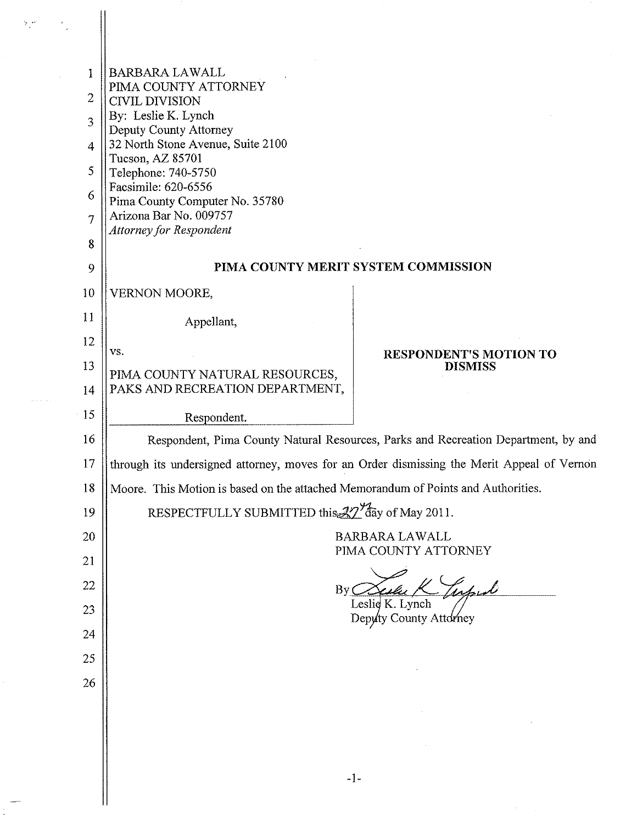| $\mathcal{F}^{(2n)}$ |                                      |                                                                                                                                                                                                                                                                                                                              |  |
|----------------------|--------------------------------------|------------------------------------------------------------------------------------------------------------------------------------------------------------------------------------------------------------------------------------------------------------------------------------------------------------------------------|--|
|                      | 1<br>2<br>3<br>4<br>5<br>6<br>7<br>8 | <b>BARBARA LAWALL</b><br>PIMA COUNTY ATTORNEY<br><b>CIVIL DIVISION</b><br>By: Leslie K. Lynch<br>Deputy County Attorney<br>32 North Stone Avenue, Suite 2100<br>Tucson, AZ 85701<br>Telephone: 740-5750<br>Facsimile: 620-6556<br>Pima County Computer No. 35780<br>Arizona Bar No. 009757<br><b>Attorney for Respondent</b> |  |
|                      | 9                                    | PIMA COUNTY MERIT SYSTEM COMMISSION                                                                                                                                                                                                                                                                                          |  |
|                      | 10<br>11                             | <b>VERNON MOORE,</b><br>Appellant,                                                                                                                                                                                                                                                                                           |  |
|                      | 12                                   | VS.                                                                                                                                                                                                                                                                                                                          |  |
|                      | 13                                   | <b>RESPONDENT'S MOTION TO</b><br><b>DISMISS</b><br>PIMA COUNTY NATURAL RESOURCES,<br>PAKS AND RECREATION DEPARTMENT,                                                                                                                                                                                                         |  |
| .                    | 14                                   |                                                                                                                                                                                                                                                                                                                              |  |
|                      | 15                                   | Respondent.                                                                                                                                                                                                                                                                                                                  |  |
|                      | 16                                   | Respondent, Pima County Natural Resources, Parks and Recreation Department, by and                                                                                                                                                                                                                                           |  |
|                      | 17                                   | through its undersigned attorney, moves for an Order dismissing the Merit Appeal of Vernon                                                                                                                                                                                                                                   |  |
|                      | 18                                   | Moore. This Motion is based on the attached Memorandum of Points and Authorities.                                                                                                                                                                                                                                            |  |
|                      | 19                                   | RESPECTFULLY SUBMITTED this 27 day of May 2011.                                                                                                                                                                                                                                                                              |  |
|                      | 20                                   | <b>BARBARA LAWALL</b><br>PIMA COUNTY ATTORNEY<br>inful<br>By<br>Leslie K. Lynch                                                                                                                                                                                                                                              |  |
|                      | 21                                   |                                                                                                                                                                                                                                                                                                                              |  |
|                      | 22                                   |                                                                                                                                                                                                                                                                                                                              |  |
|                      | 23                                   | Depyty County Attorney                                                                                                                                                                                                                                                                                                       |  |
|                      | 24                                   |                                                                                                                                                                                                                                                                                                                              |  |
|                      | 25                                   |                                                                                                                                                                                                                                                                                                                              |  |
|                      | 26                                   |                                                                                                                                                                                                                                                                                                                              |  |
|                      |                                      |                                                                                                                                                                                                                                                                                                                              |  |
|                      |                                      |                                                                                                                                                                                                                                                                                                                              |  |
|                      |                                      | $-1-$                                                                                                                                                                                                                                                                                                                        |  |
|                      |                                      |                                                                                                                                                                                                                                                                                                                              |  |

 $\label{eq:2} \frac{1}{\sqrt{2}}\left(\frac{1}{\sqrt{2}}\right)^{2} \left(\frac{1}{\sqrt{2}}\right)^{2} \left(\frac{1}{\sqrt{2}}\right)^{2} \left(\frac{1}{\sqrt{2}}\right)^{2} \left(\frac{1}{\sqrt{2}}\right)^{2} \left(\frac{1}{\sqrt{2}}\right)^{2} \left(\frac{1}{\sqrt{2}}\right)^{2} \left(\frac{1}{\sqrt{2}}\right)^{2} \left(\frac{1}{\sqrt{2}}\right)^{2} \left(\frac{1}{\sqrt{2}}\right)^{2} \left(\frac{1}{\sqrt{2}}\right)^{2} \left(\frac{$ 

 $\frac{1}{2}$